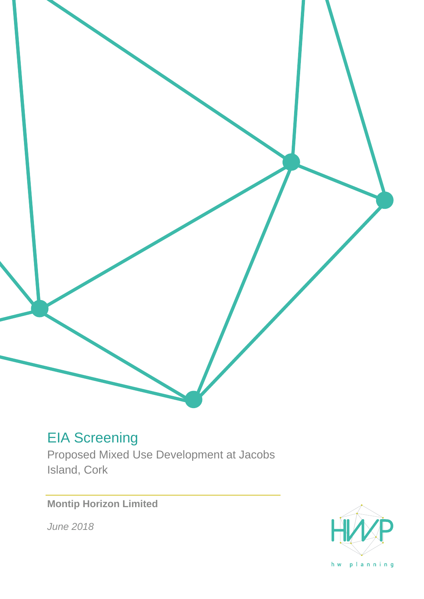# EIA Screening

Proposed Mixed Use Development at Jacobs Island, Cork

# **Montip Horizon Limited**

*June 2018*



hw planning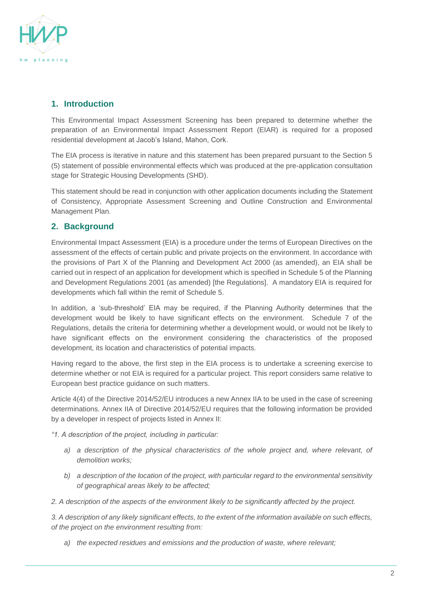

### **1. Introduction**

This Environmental Impact Assessment Screening has been prepared to determine whether the preparation of an Environmental Impact Assessment Report (EIAR) is required for a proposed residential development at Jacob's Island, Mahon, Cork.

The EIA process is iterative in nature and this statement has been prepared pursuant to the Section 5 (5) statement of possible environmental effects which was produced at the pre-application consultation stage for Strategic Housing Developments (SHD).

This statement should be read in conjunction with other application documents including the Statement of Consistency, Appropriate Assessment Screening and Outline Construction and Environmental Management Plan.

## **2. Background**

Environmental Impact Assessment (EIA) is a procedure under the terms of European Directives on the assessment of the effects of certain public and private projects on the environment. In accordance with the provisions of Part X of the Planning and Development Act 2000 (as amended), an EIA shall be carried out in respect of an application for development which is specified in Schedule 5 of the Planning and Development Regulations 2001 (as amended) [the Regulations]. A mandatory EIA is required for developments which fall within the remit of Schedule 5.

In addition, a 'sub-threshold' EIA may be required, if the Planning Authority determines that the development would be likely to have significant effects on the environment. Schedule 7 of the Regulations, details the criteria for determining whether a development would, or would not be likely to have significant effects on the environment considering the characteristics of the proposed development, its location and characteristics of potential impacts.

Having regard to the above, the first step in the EIA process is to undertake a screening exercise to determine whether or not EIA is required for a particular project. This report considers same relative to European best practice guidance on such matters.

Article 4(4) of the Directive 2014/52/EU introduces a new Annex IIA to be used in the case of screening determinations. Annex IIA of Directive 2014/52/EU requires that the following information be provided by a developer in respect of projects listed in Annex II:

*"1. A description of the project, including in particular:*

- *a) a description of the physical characteristics of the whole project and, where relevant, of demolition works;*
- *b) a description of the location of the project, with particular regard to the environmental sensitivity of geographical areas likely to be affected;*

*2. A description of the aspects of the environment likely to be significantly affected by the project.*

*3. A description of any likely significant effects, to the extent of the information available on such effects, of the project on the environment resulting from:*

*a) the expected residues and emissions and the production of waste, where relevant;*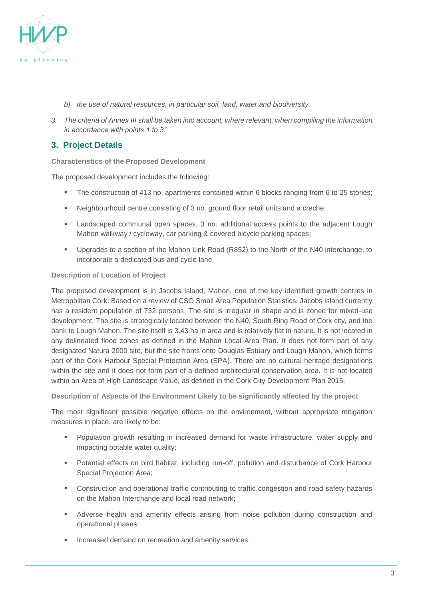

- *b) the use of natural resources, in particular soil, land, water and biodiversity.*
- *3. The criteria of Annex III shall be taken into account, where relevant, when compiling the information in accordance with points 1 to 3".*

### **3. Project Details**

**Characteristics of the Proposed Development**

The proposed development includes the following:

- **•** The construction of 413 no. apartments contained within 6 blocks ranging from 6 to 25 stories;
- Neighbourhood centre consisting of 3 no. ground floor retail units and a creche;
- Landscaped communal open spaces, 3 no. additional access points to the adjacent Lough Mahon walkway / cycleway, car parking & covered bicycle parking spaces;
- Upgrades to a section of the Mahon Link Road (R852) to the North of the N40 interchange, to incorporate a dedicated bus and cycle lane.

#### **Description of Location of Project**

The proposed development is in Jacobs Island, Mahon, one of the key identified growth centres in Metropolitan Cork. Based on a review of CSO Small Area Population Statistics, Jacobs Island currently has a resident population of 732 persons. The site is irregular in shape and is zoned for mixed-use development. The site is strategically located between the N40, South Ring Road of Cork city, and the bank to Lough Mahon. The site itself is 3.43 ha in area and is relatively flat in nature. It is not located in any delineated flood zones as defined in the Mahon Local Area Plan. It does not form part of any designated Natura 2000 site, but the site fronts onto Douglas Estuary and Lough Mahon, which forms part of the Cork Harbour Special Protection Area (SPA). There are no cultural heritage designations within the site and it does not form part of a defined architectural conservation area. It is not located within an Area of High Landscape Value, as defined in the Cork City Development Plan 2015.

**Description of Aspects of the Environment Likely to be significantly affected by the project**

The most significant possible negative effects on the environment, without appropriate mitigation measures in place, are likely to be:

- Population growth resulting in increased demand for waste infrastructure, water supply and impacting potable water quality;
- Potential effects on bird habitat, including run-off, pollution and disturbance of Cork Harbour Special Projection Area:
- Construction and operational traffic contributing to traffic congestion and road safety hazards on the Mahon Interchange and local road network;
- **■** Adverse health and amenity effects arising from noise pollution during construction and operational phases;
- Increased demand on recreation and amenity services.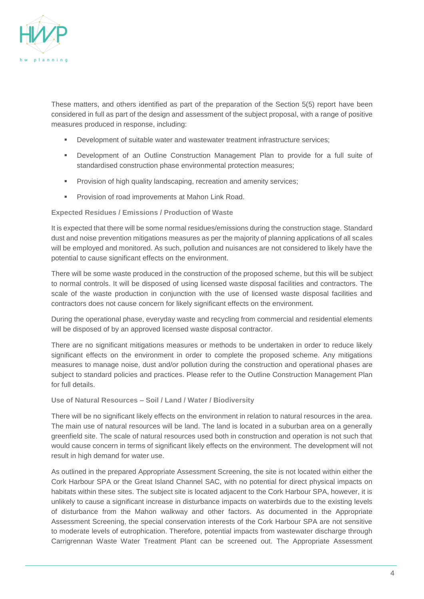

These matters, and others identified as part of the preparation of the Section 5(5) report have been considered in full as part of the design and assessment of the subject proposal, with a range of positive measures produced in response, including:

- Development of suitable water and wastewater treatment infrastructure services;
- Development of an Outline Construction Management Plan to provide for a full suite of standardised construction phase environmental protection measures;
- **•** Provision of high quality landscaping, recreation and amenity services;
- **Provision of road improvements at Mahon Link Road.**

#### **Expected Residues / Emissions / Production of Waste**

It is expected that there will be some normal residues/emissions during the construction stage. Standard dust and noise prevention mitigations measures as per the majority of planning applications of all scales will be employed and monitored. As such, pollution and nuisances are not considered to likely have the potential to cause significant effects on the environment.

There will be some waste produced in the construction of the proposed scheme, but this will be subject to normal controls. It will be disposed of using licensed waste disposal facilities and contractors. The scale of the waste production in conjunction with the use of licensed waste disposal facilities and contractors does not cause concern for likely significant effects on the environment.

During the operational phase, everyday waste and recycling from commercial and residential elements will be disposed of by an approved licensed waste disposal contractor.

There are no significant mitigations measures or methods to be undertaken in order to reduce likely significant effects on the environment in order to complete the proposed scheme. Any mitigations measures to manage noise, dust and/or pollution during the construction and operational phases are subject to standard policies and practices. Please refer to the Outline Construction Management Plan for full details.

#### **Use of Natural Resources – Soil / Land / Water / Biodiversity**

There will be no significant likely effects on the environment in relation to natural resources in the area. The main use of natural resources will be land. The land is located in a suburban area on a generally greenfield site. The scale of natural resources used both in construction and operation is not such that would cause concern in terms of significant likely effects on the environment. The development will not result in high demand for water use.

As outlined in the prepared Appropriate Assessment Screening, the site is not located within either the Cork Harbour SPA or the Great Island Channel SAC, with no potential for direct physical impacts on habitats within these sites. The subject site is located adjacent to the Cork Harbour SPA, however, it is unlikely to cause a significant increase in disturbance impacts on waterbirds due to the existing levels of disturbance from the Mahon walkway and other factors. As documented in the Appropriate Assessment Screening, the special conservation interests of the Cork Harbour SPA are not sensitive to moderate levels of eutrophication. Therefore, potential impacts from wastewater discharge through Carrigrennan Waste Water Treatment Plant can be screened out. The Appropriate Assessment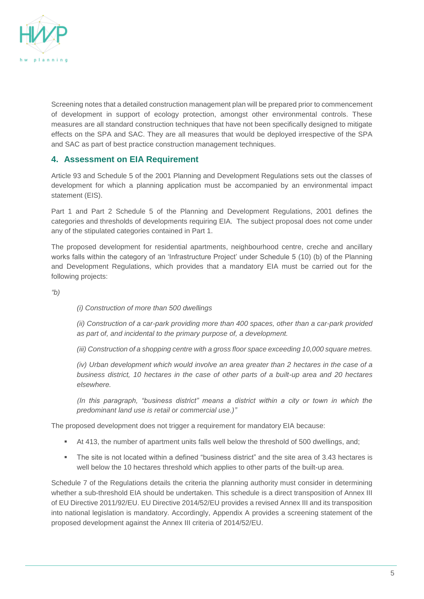

Screening notes that a detailed construction management plan will be prepared prior to commencement of development in support of ecology protection, amongst other environmental controls. These measures are all standard construction techniques that have not been specifically designed to mitigate effects on the SPA and SAC. They are all measures that would be deployed irrespective of the SPA and SAC as part of best practice construction management techniques.

#### **4. Assessment on EIA Requirement**

Article 93 and Schedule 5 of the 2001 Planning and Development Regulations sets out the classes of development for which a planning application must be accompanied by an environmental impact statement (EIS).

Part 1 and Part 2 Schedule 5 of the Planning and Development Regulations, 2001 defines the categories and thresholds of developments requiring EIA. The subject proposal does not come under any of the stipulated categories contained in Part 1.

The proposed development for residential apartments, neighbourhood centre, creche and ancillary works falls within the category of an 'Infrastructure Project' under Schedule 5 (10) (b) of the Planning and Development Regulations, which provides that a mandatory EIA must be carried out for the following projects:

*"b)*

*(i) Construction of more than 500 dwellings*

*(ii) Construction of a car-park providing more than 400 spaces, other than a car-park provided as part of, and incidental to the primary purpose of, a development.*

*(iii) Construction of a shopping centre with a gross floor space exceeding 10,000 square metres.*

*(iv) Urban development which would involve an area greater than 2 hectares in the case of a business district, 10 hectares in the case of other parts of a built-up area and 20 hectares elsewhere.*

*(In this paragraph, "business district" means a district within a city or town in which the predominant land use is retail or commercial use.)"*

The proposed development does not trigger a requirement for mandatory EIA because:

- At 413, the number of apartment units falls well below the threshold of 500 dwellings, and;
- The site is not located within a defined "business district" and the site area of 3.43 hectares is well below the 10 hectares threshold which applies to other parts of the built-up area.

Schedule 7 of the Regulations details the criteria the planning authority must consider in determining whether a sub-threshold EIA should be undertaken. This schedule is a direct transposition of Annex III of EU Directive 2011/92/EU. EU Directive 2014/52/EU provides a revised Annex III and its transposition into national legislation is mandatory. Accordingly, Appendix A provides a screening statement of the proposed development against the Annex III criteria of 2014/52/EU.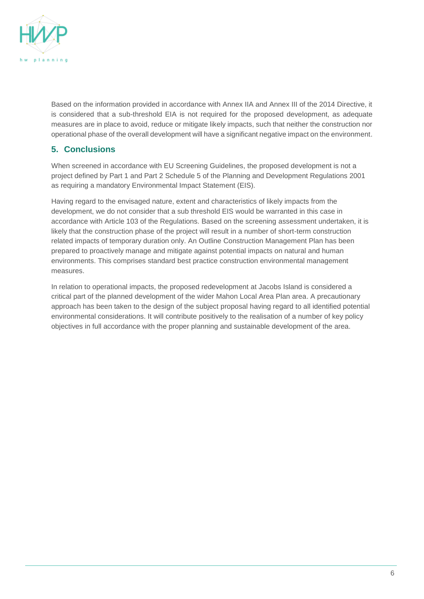

Based on the information provided in accordance with Annex IIA and Annex III of the 2014 Directive, it is considered that a sub-threshold EIA is not required for the proposed development, as adequate measures are in place to avoid, reduce or mitigate likely impacts, such that neither the construction nor operational phase of the overall development will have a significant negative impact on the environment.

# **5. Conclusions**

When screened in accordance with EU Screening Guidelines, the proposed development is not a project defined by Part 1 and Part 2 Schedule 5 of the Planning and Development Regulations 2001 as requiring a mandatory Environmental Impact Statement (EIS).

Having regard to the envisaged nature, extent and characteristics of likely impacts from the development, we do not consider that a sub threshold EIS would be warranted in this case in accordance with Article 103 of the Regulations. Based on the screening assessment undertaken, it is likely that the construction phase of the project will result in a number of short-term construction related impacts of temporary duration only. An Outline Construction Management Plan has been prepared to proactively manage and mitigate against potential impacts on natural and human environments. This comprises standard best practice construction environmental management measures.

In relation to operational impacts, the proposed redevelopment at Jacobs Island is considered a critical part of the planned development of the wider Mahon Local Area Plan area. A precautionary approach has been taken to the design of the subject proposal having regard to all identified potential environmental considerations. It will contribute positively to the realisation of a number of key policy objectives in full accordance with the proper planning and sustainable development of the area.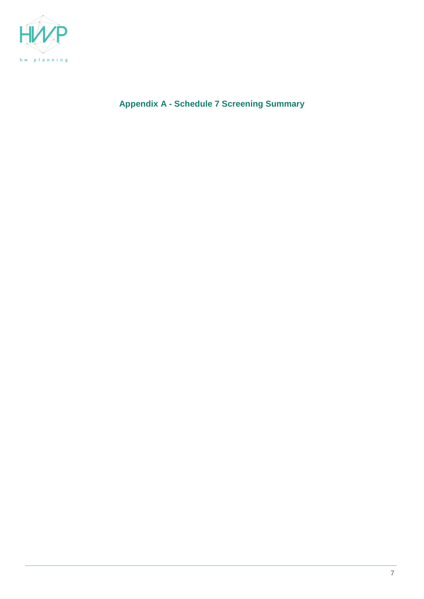

**Appendix A - Schedule 7 Screening Summary**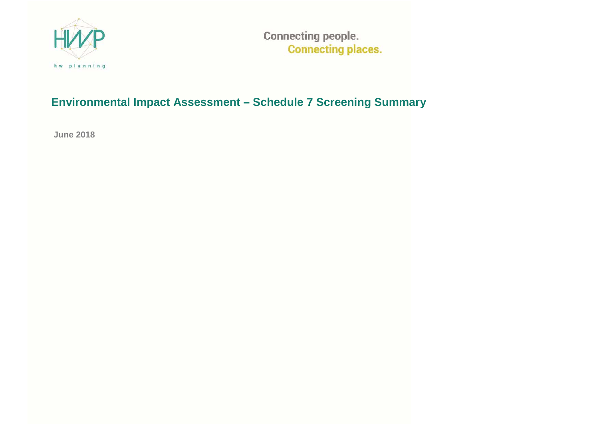

**Connecting people. Connecting places.** 

# **Environmental Impact Assessment – Schedule 7 Screening Summary**

**June 2018**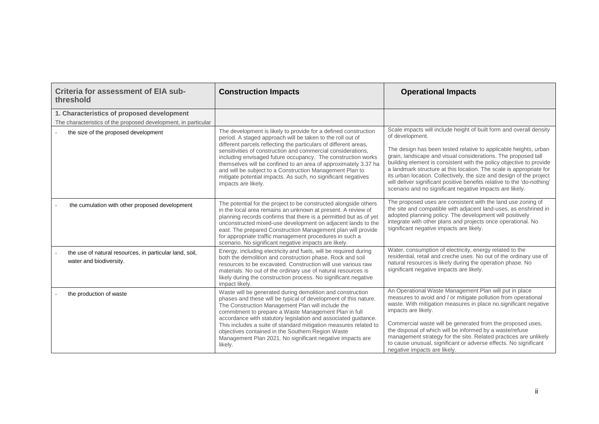| Criteria for assessment of EIA sub-<br>threshold                                                             | <b>Construction Impacts</b>                                                                                                                                                                                                                                                                                                                                                                                                                                                                                                                              | <b>Operational Impacts</b>                                                                                                                                                                                                                                                                                                                                                                                                                                                                                                                                                               |
|--------------------------------------------------------------------------------------------------------------|----------------------------------------------------------------------------------------------------------------------------------------------------------------------------------------------------------------------------------------------------------------------------------------------------------------------------------------------------------------------------------------------------------------------------------------------------------------------------------------------------------------------------------------------------------|------------------------------------------------------------------------------------------------------------------------------------------------------------------------------------------------------------------------------------------------------------------------------------------------------------------------------------------------------------------------------------------------------------------------------------------------------------------------------------------------------------------------------------------------------------------------------------------|
| 1. Characteristics of proposed development<br>The characteristics of the proposed development, in particular |                                                                                                                                                                                                                                                                                                                                                                                                                                                                                                                                                          |                                                                                                                                                                                                                                                                                                                                                                                                                                                                                                                                                                                          |
| the size of the proposed development                                                                         | The development is likely to provide for a defined construction<br>period. A staged approach will be taken to the roll out of<br>different parcels reflecting the particulars of different areas,<br>sensitivities of construction and commercial considerations.<br>including envisaged future occupancy. The construction works<br>themselves will be confined to an area of approximately 3.37 ha<br>and will be subject to a Construction Management Plan to<br>mitigate potential impacts. As such, no significant negatives<br>impacts are likely. | Scale impacts will include height of built form and overall density<br>of development.<br>The design has been tested relative to applicable heights, urban<br>grain, landscape and visual considerations. The proposed tall<br>building element is consistent with the policy objective to provide<br>a landmark structure at this location. The scale is appropriate for<br>its urban location. Collectively, the size and design of the project<br>will deliver significant positive benefits relative to the 'do-nothing'<br>scenario and no significant negative impacts are likely. |
| the cumulation with other proposed development                                                               | The potential for the project to be constructed alongside others<br>in the local area remains an unknown at present. A review of<br>planning records confirms that there is a permitted but as of yet<br>unconstructed mixed-use development on adjacent lands to the<br>east. The prepared Construction Management plan will provide<br>for appropriate traffic management procedures in such a<br>scenario. No significant negative impacts are likely.                                                                                                | The proposed uses are consistent with the land use zoning of<br>the site and compatible with adjacent land-uses, as enshrined in<br>adopted planning policy. The development will positively<br>integrate with other plans and projects once operational. No<br>significant negative impacts are likely.                                                                                                                                                                                                                                                                                 |
| the use of natural resources, in particular land, soil,<br>water and biodiversity.                           | Energy, including electricity and fuels, will be required during<br>both the demolition and construction phase. Rock and soil<br>resources to be excavated. Construction will use various raw<br>materials. No out of the ordinary use of natural resources is<br>likely during the construction process. No significant negative<br>impact likely.                                                                                                                                                                                                      | Water, consumption of electricity, energy related to the<br>residential, retail and creche uses. No out of the ordinary use of<br>natural resources is likely during the operation phase. No<br>significant negative impacts are likely.                                                                                                                                                                                                                                                                                                                                                 |
| the production of waste                                                                                      | Waste will be generated during demolition and construction<br>phases and these will be typical of development of this nature.<br>The Construction Management Plan will include the<br>commitment to prepare a Waste Management Plan in full<br>accordance with statutory legislation and associated guidance.<br>This includes a suite of standard mitigation measures related to<br>objectives contained in the Southern Region Waste<br>Management Plan 2021. No significant negative impacts are<br>likely.                                           | An Operational Waste Management Plan will put in place<br>measures to avoid and / or mitigate pollution from operational<br>waste. With mitigation measures in place no significant negative<br>impacts are likely.<br>Commercial waste will be generated from the proposed uses,<br>the disposal of which will be informed by a waste/refuse<br>management strategy for the site. Related practices are unlikely<br>to cause unusual, significant or adverse effects. No significant<br>negative impacts are likely.                                                                    |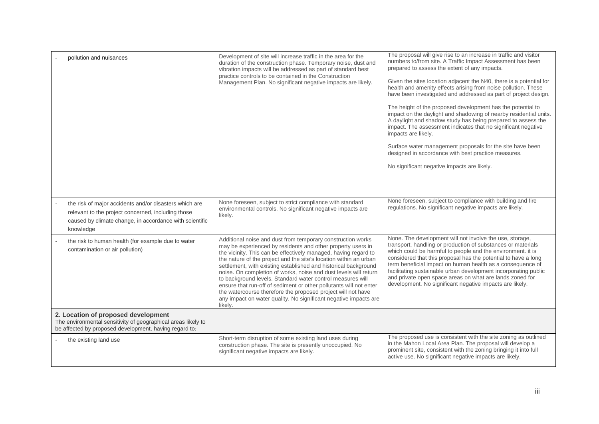| pollution and nuisances                                                                                                                                                              | Development of site will increase traffic in the area for the<br>duration of the construction phase. Temporary noise, dust and<br>vibration impacts will be addressed as part of standard best<br>practice controls to be contained in the Construction<br>Management Plan. No significant negative impacts are likely.                                                                                                                                                                                                                                                                                                                                                                      | The proposal will give rise to an increase in traffic and visitor<br>numbers to/from site. A Traffic Impact Assessment has been<br>prepared to assess the extent of any impacts.<br>Given the sites location adjacent the N40, there is a potential for<br>health and amenity effects arising from noise pollution. These<br>have been investigated and addressed as part of project design.<br>The height of the proposed development has the potential to<br>impact on the daylight and shadowing of nearby residential units.<br>A daylight and shadow study has being prepared to assess the<br>impact. The assessment indicates that no significant negative<br>impacts are likely.<br>Surface water management proposals for the site have been<br>designed in accordance with best practice measures.<br>No significant negative impacts are likely. |
|--------------------------------------------------------------------------------------------------------------------------------------------------------------------------------------|----------------------------------------------------------------------------------------------------------------------------------------------------------------------------------------------------------------------------------------------------------------------------------------------------------------------------------------------------------------------------------------------------------------------------------------------------------------------------------------------------------------------------------------------------------------------------------------------------------------------------------------------------------------------------------------------|-------------------------------------------------------------------------------------------------------------------------------------------------------------------------------------------------------------------------------------------------------------------------------------------------------------------------------------------------------------------------------------------------------------------------------------------------------------------------------------------------------------------------------------------------------------------------------------------------------------------------------------------------------------------------------------------------------------------------------------------------------------------------------------------------------------------------------------------------------------|
| the risk of major accidents and/or disasters which are<br>relevant to the project concerned, including those<br>caused by climate change, in accordance with scientific<br>knowledge | None foreseen, subject to strict compliance with standard<br>environmental controls. No significant negative impacts are<br>likely.                                                                                                                                                                                                                                                                                                                                                                                                                                                                                                                                                          | None foreseen, subject to compliance with building and fire<br>regulations. No significant negative impacts are likely.                                                                                                                                                                                                                                                                                                                                                                                                                                                                                                                                                                                                                                                                                                                                     |
| the risk to human health (for example due to water<br>contamination or air pollution)                                                                                                | Additional noise and dust from temporary construction works<br>may be experienced by residents and other property users in<br>the vicinity. This can be effectively managed, having regard to<br>the nature of the project and the site's location within an urban<br>settlement, with existing established and historical background<br>noise. On completion of works, noise and dust levels will return<br>to background levels. Standard water control measures will<br>ensure that run-off of sediment or other pollutants will not enter<br>the watercourse therefore the proposed project will not have<br>any impact on water quality. No significant negative impacts are<br>likelv. | None. The development will not involve the use, storage,<br>transport, handling or production of substances or materials<br>which could be harmful to people and the environment. it is<br>considered that this proposal has the potential to have a long<br>term beneficial impact on human health as a consequence of<br>facilitating sustainable urban development incorporating public<br>and private open space areas on what are lands zoned for<br>development. No significant negative impacts are likely.                                                                                                                                                                                                                                                                                                                                          |
| 2. Location of proposed development<br>The environmental sensitivity of geographical areas likely to<br>be affected by proposed development, having regard to:                       |                                                                                                                                                                                                                                                                                                                                                                                                                                                                                                                                                                                                                                                                                              |                                                                                                                                                                                                                                                                                                                                                                                                                                                                                                                                                                                                                                                                                                                                                                                                                                                             |
| the existing land use                                                                                                                                                                | Short-term disruption of some existing land uses during<br>construction phase. The site is presently unoccupied. No<br>significant negative impacts are likely.                                                                                                                                                                                                                                                                                                                                                                                                                                                                                                                              | The proposed use is consistent with the site zoning as outlined<br>in the Mahon Local Area Plan. The proposal will develop a<br>prominent site, consistent with the zoning bringing it into full<br>active use. No significant negative impacts are likely.                                                                                                                                                                                                                                                                                                                                                                                                                                                                                                                                                                                                 |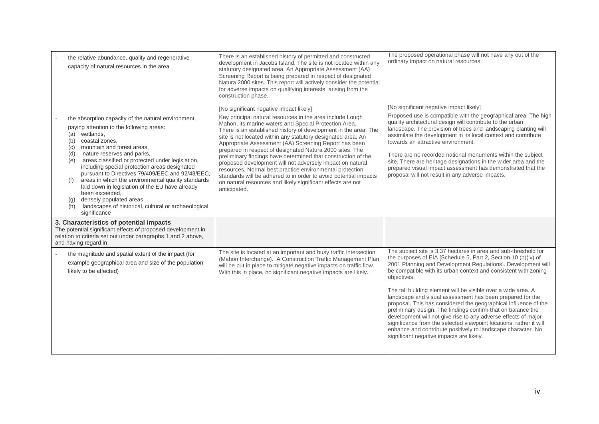| the relative abundance, quality and regenerative<br>capacity of natural resources in the area                                                                                                                                                                                                                                                                                                                                                                                                                                                                                                                                           | There is an established history of permitted and constructed<br>development in Jacobs Island. The site is not located within any<br>statutory designated area. An Appropriate Assessment (AA)<br>Screening Report is being prepared in respect of designated<br>Natura 2000 sites. This report will actively consider the potential<br>for adverse impacts on qualifying interests, arising from the<br>construction phase.<br>[No significant negative impact likely]                                                                                                                                                                                                                                                  | The proposed operational phase will not have any out of the<br>ordinary impact on natural resources.<br>[No significant negative impact likely]                                                                                                                                                                                                                                                                                                                                                                                                                                                                                                                                                                                                                                                           |
|-----------------------------------------------------------------------------------------------------------------------------------------------------------------------------------------------------------------------------------------------------------------------------------------------------------------------------------------------------------------------------------------------------------------------------------------------------------------------------------------------------------------------------------------------------------------------------------------------------------------------------------------|-------------------------------------------------------------------------------------------------------------------------------------------------------------------------------------------------------------------------------------------------------------------------------------------------------------------------------------------------------------------------------------------------------------------------------------------------------------------------------------------------------------------------------------------------------------------------------------------------------------------------------------------------------------------------------------------------------------------------|-----------------------------------------------------------------------------------------------------------------------------------------------------------------------------------------------------------------------------------------------------------------------------------------------------------------------------------------------------------------------------------------------------------------------------------------------------------------------------------------------------------------------------------------------------------------------------------------------------------------------------------------------------------------------------------------------------------------------------------------------------------------------------------------------------------|
| the absorption capacity of the natural environment,<br>paying attention to the following areas:<br>(a) wetlands,<br>coastal zones.<br>(b)<br>mountain and forest areas.<br>(c)<br>nature reserves and parks,<br>(d)<br>areas classified or protected under legislation,<br>(e)<br>including special protection areas designated<br>pursuant to Directives 79/409/EEC and 92/43/EEC,<br>areas in which the environmental quality standards<br>(f)<br>laid down in legislation of the EU have already<br>been exceeded.<br>densely populated areas,<br>(g)<br>landscapes of historical, cultural or archaeological<br>(h)<br>significance | Key principal natural resources in the area include Lough<br>Mahon, its marine waters and Special Protection Area.<br>There is an established history of development in the area. The<br>site is not located within any statutory designated area. An<br>Appropriate Assessment (AA) Screening Report has been<br>prepared in respect of designated Natura 2000 sites. The<br>preliminary findings have determined that construction of the<br>proposed development will not adversely impact on natural<br>resources. Normal best practice environmental protection<br>standards will be adhered to in order to avoid potential impacts<br>on natural resources and likely significant effects are not<br>anticipated. | Proposed use is compatible with the geographical area. The high<br>quality architectural design will contribute to the urban<br>landscape. The provision of trees and landscaping planting will<br>assimilate the development in its local context and contribute<br>towards an attractive environment.<br>There are no recorded national monuments within the subject<br>site. There are heritage designations in the wider area and the<br>prepared visual impact assessment has demonstrated that the<br>proposal will not result in any adverse impacts.                                                                                                                                                                                                                                              |
| 3. Characteristics of potential impacts<br>The potential significant effects of proposed development in<br>relation to criteria set out under paragraphs 1 and 2 above,<br>and having regard in                                                                                                                                                                                                                                                                                                                                                                                                                                         |                                                                                                                                                                                                                                                                                                                                                                                                                                                                                                                                                                                                                                                                                                                         |                                                                                                                                                                                                                                                                                                                                                                                                                                                                                                                                                                                                                                                                                                                                                                                                           |
| the magnitude and spatial extent of the impact (for<br>example geographical area and size of the population<br>likely to be affected)                                                                                                                                                                                                                                                                                                                                                                                                                                                                                                   | The site is located at an important and busy traffic intersection<br>(Mahon Interchange). A Construction Traffic Management Plan<br>will be put in place to mitigate negative impacts on traffic flow.<br>With this in place, no significant negative impacts are likely.                                                                                                                                                                                                                                                                                                                                                                                                                                               | The subject site is 3.37 hectares in area and sub-threshold for<br>the purposes of EIA [Schedule 5, Part 2, Section 10 (b) (iv) of<br>2001 Planning and Development Regulations]. Development will<br>be compatible with its urban context and consistent with zoning<br>objectives.<br>The tall building element will be visible over a wide area. A<br>landscape and visual assessment has been prepared for the<br>proposal. This has considered the geographical influence of the<br>preliminary design. The findings confirm that on balance the<br>development will not give rise to any adverse effects of major<br>significance from the selected viewpoint locations, rather it will<br>enhance and contribute positively to landscape character. No<br>significant negative impacts are likely. |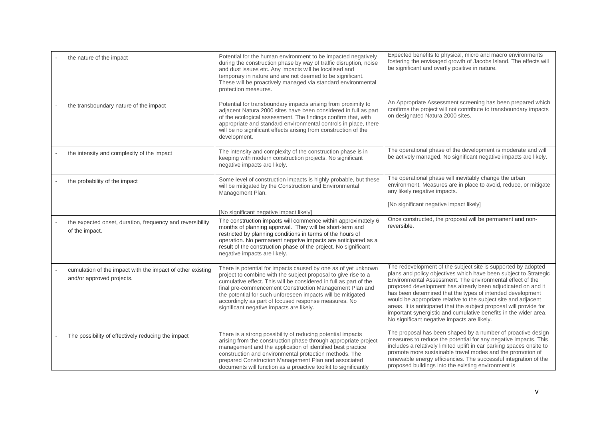| the nature of the impact                                                                | Potential for the human environment to be impacted negatively<br>during the construction phase by way of traffic disruption, noise<br>and dust issues etc. Any impacts will be localised and<br>temporary in nature and are not deemed to be significant.<br>These will be proactively managed via standard environmental<br>protection measures.                                                                                   | Expected benefits to physical, micro and macro environments<br>fostering the envisaged growth of Jacobs Island. The effects will<br>be significant and overtly positive in nature.                                                                                                                                                                                                                                                                                                                                                                                                      |
|-----------------------------------------------------------------------------------------|-------------------------------------------------------------------------------------------------------------------------------------------------------------------------------------------------------------------------------------------------------------------------------------------------------------------------------------------------------------------------------------------------------------------------------------|-----------------------------------------------------------------------------------------------------------------------------------------------------------------------------------------------------------------------------------------------------------------------------------------------------------------------------------------------------------------------------------------------------------------------------------------------------------------------------------------------------------------------------------------------------------------------------------------|
| the transboundary nature of the impact                                                  | Potential for transboundary impacts arising from proximity to<br>adjacent Natura 2000 sites have been considered in full as part<br>of the ecological assessment. The findings confirm that, with<br>appropriate and standard environmental controls in place, there<br>will be no significant effects arising from construction of the<br>development.                                                                             | An Appropriate Assessment screening has been prepared which<br>confirms the project will not contribute to transboundary impacts<br>on designated Natura 2000 sites.                                                                                                                                                                                                                                                                                                                                                                                                                    |
| the intensity and complexity of the impact                                              | The intensity and complexity of the construction phase is in<br>keeping with modern construction projects. No significant<br>negative impacts are likely.                                                                                                                                                                                                                                                                           | The operational phase of the development is moderate and will<br>be actively managed. No significant negative impacts are likely.                                                                                                                                                                                                                                                                                                                                                                                                                                                       |
| the probability of the impact                                                           | Some level of construction impacts is highly probable, but these<br>will be mitigated by the Construction and Environmental<br>Management Plan.                                                                                                                                                                                                                                                                                     | The operational phase will inevitably change the urban<br>environment. Measures are in place to avoid, reduce, or mitigate<br>any likely negative impacts.<br>[No significant negative impact likely]                                                                                                                                                                                                                                                                                                                                                                                   |
|                                                                                         | [No significant negative impact likely]                                                                                                                                                                                                                                                                                                                                                                                             |                                                                                                                                                                                                                                                                                                                                                                                                                                                                                                                                                                                         |
| the expected onset, duration, frequency and reversibility<br>of the impact.             | The construction impacts will commence within approximately 6<br>months of planning approval. They will be short-term and<br>restricted by planning conditions in terms of the hours of<br>operation. No permanent negative impacts are anticipated as a<br>result of the construction phase of the project. No significant<br>negative impacts are likely.                                                                         | Once constructed, the proposal will be permanent and non-<br>reversible.                                                                                                                                                                                                                                                                                                                                                                                                                                                                                                                |
| cumulation of the impact with the impact of other existing<br>and/or approved projects. | There is potential for impacts caused by one as of yet unknown<br>project to combine with the subject proposal to give rise to a<br>cumulative effect. This will be considered in full as part of the<br>final pre-commencement Construction Management Plan and<br>the potential for such unforeseen impacts will be mitigated<br>accordingly as part of focused response measures. No<br>significant negative impacts are likely. | The redevelopment of the subject site is supported by adopted<br>plans and policy objectives which have been subject to Strategic<br>Environmental Assessment. The environmental effect of the<br>proposed development has already been adjudicated on and it<br>has been determined that the types of intended development<br>would be appropriate relative to the subject site and adjacent<br>areas. It is anticipated that the subject proposal will provide for<br>important synergistic and cumulative benefits in the wider area.<br>No significant negative impacts are likely. |
| The possibility of effectively reducing the impact                                      | There is a strong possibility of reducing potential impacts<br>arising from the construction phase through appropriate project<br>management and the application of identified best practice<br>construction and environmental protection methods. The<br>prepared Construction Management Plan and associated<br>documents will function as a proactive toolkit to significantly                                                   | The proposal has been shaped by a number of proactive design<br>measures to reduce the potential for any negative impacts. This<br>includes a relatively limited uplift in car parking spaces onsite to<br>promote more sustainable travel modes and the promotion of<br>renewable energy efficiencies. The successful integration of the<br>proposed buildings into the existing environment is                                                                                                                                                                                        |